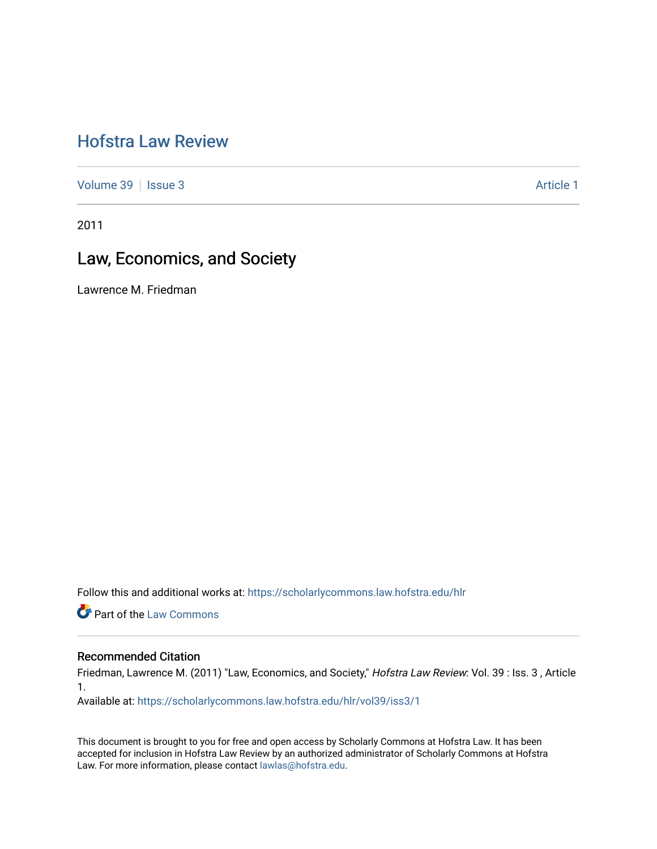# [Hofstra Law Review](https://scholarlycommons.law.hofstra.edu/hlr)

[Volume 39](https://scholarlycommons.law.hofstra.edu/hlr/vol39) | [Issue 3](https://scholarlycommons.law.hofstra.edu/hlr/vol39/iss3) Article 1

2011

## Law, Economics, and Society

Lawrence M. Friedman

Follow this and additional works at: [https://scholarlycommons.law.hofstra.edu/hlr](https://scholarlycommons.law.hofstra.edu/hlr?utm_source=scholarlycommons.law.hofstra.edu%2Fhlr%2Fvol39%2Fiss3%2F1&utm_medium=PDF&utm_campaign=PDFCoverPages)

**Part of the [Law Commons](http://network.bepress.com/hgg/discipline/578?utm_source=scholarlycommons.law.hofstra.edu%2Fhlr%2Fvol39%2Fiss3%2F1&utm_medium=PDF&utm_campaign=PDFCoverPages)** 

## Recommended Citation

Friedman, Lawrence M. (2011) "Law, Economics, and Society," Hofstra Law Review: Vol. 39 : Iss. 3, Article 1.

Available at: [https://scholarlycommons.law.hofstra.edu/hlr/vol39/iss3/1](https://scholarlycommons.law.hofstra.edu/hlr/vol39/iss3/1?utm_source=scholarlycommons.law.hofstra.edu%2Fhlr%2Fvol39%2Fiss3%2F1&utm_medium=PDF&utm_campaign=PDFCoverPages)

This document is brought to you for free and open access by Scholarly Commons at Hofstra Law. It has been accepted for inclusion in Hofstra Law Review by an authorized administrator of Scholarly Commons at Hofstra Law. For more information, please contact [lawlas@hofstra.edu.](mailto:lawlas@hofstra.edu)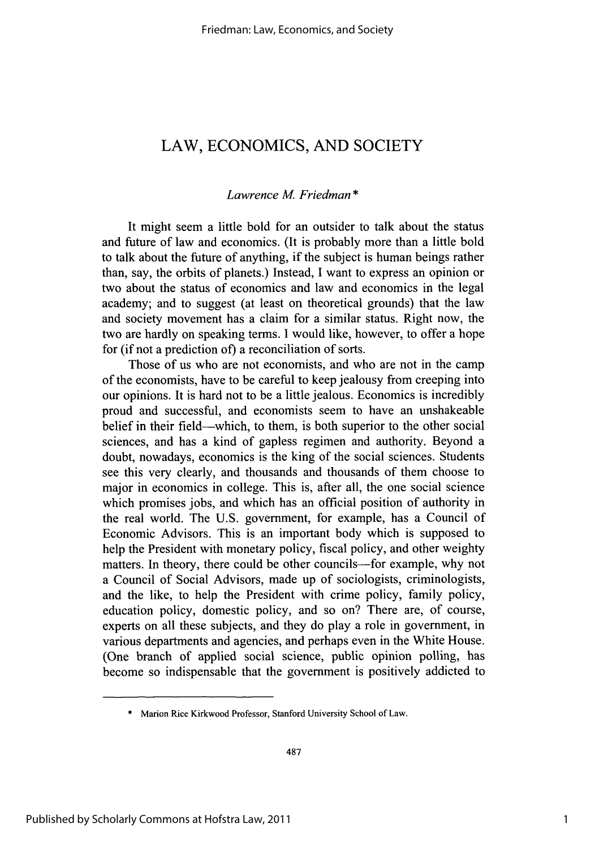## LAW, **ECONOMICS, AND SOCIETY**

## *Lawrence M Friedman* **\***

It might seem a little bold for an outsider to talk about the status and future of law and economics. (It is probably more than a little bold to talk about the future of anything, if the subject is human beings rather than, say, the orbits of planets.) Instead, **I** want to express an opinion or two about the status of economics and law and economics in the legal academy; and to suggest (at least on theoretical grounds) that the law and society movement has a claim for a similar status. Right now, the two are hardly on speaking terms. **I** would like, however, to offer a hope for (if not a prediction of) a reconciliation of sorts.

Those of us who are not economists, and who are not in the camp of the economists, have to be careful to keep jealousy from creeping into our opinions. It is hard not to be a little jealous. Economics is incredibly proud and successful, and economists seem to have an unshakeable belief in their field-which, to them, is both superior to the other social sciences, and has a kind of gapless regimen and authority. Beyond a doubt, nowadays, economics is the king of the social sciences. Students see this very clearly, and thousands and thousands of them choose to major in economics in college. This is, after all, the one social science which promises jobs, and which has an official position of authority in the real world. The **U.S.** government, for example, has a Council of Economic Advisors. This is an important body which is supposed to help the President with monetary policy, fiscal policy, and other weighty matters. In theory, there could be other councils-for example, why not a Council of Social Advisors, made up of sociologists, criminologists, and the like, to help the President with crime policy, family policy, education policy, domestic policy, and so on? There are, of course, experts on all these subjects, and they do play a role in government, in various departments and agencies, and perhaps even in the White House. (One branch of applied social science, public opinion polling, has become so indispensable that the government is positively addicted to

**<sup>\*</sup>** Marion Rice Kirkwood Professor, Stanford University School of Law.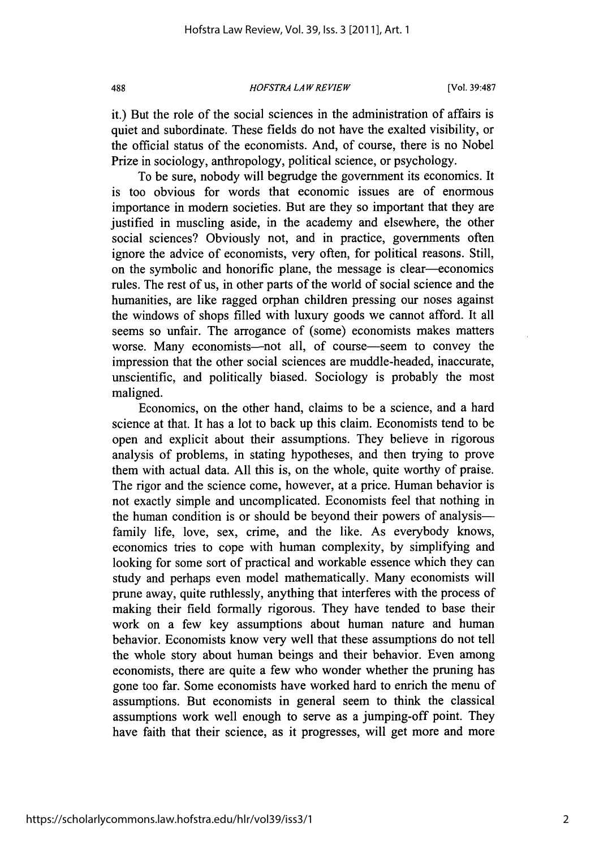*HOFSTRA LAW REVIEW* **488** [Vol. **39:487**

it.) But the role of the social sciences in the administration of affairs is quiet and subordinate. These fields do not have the exalted visibility, or the official status of the economists. And, of course, there is no Nobel Prize in sociology, anthropology, political science, or psychology.

To be sure, nobody will begrudge the government its economics. It is too obvious for words that economic issues are of enormous importance in modern societies. But are they so important that they are justified in muscling aside, in the academy and elsewhere, the other social sciences? Obviously not, and in practice, governments often ignore the advice of economists, very often, for political reasons. Still, on the symbolic and honorific plane, the message is clear-economics rules. The rest of us, in other parts of the world of social science and the humanities, are like ragged orphan children pressing our noses against the windows of shops filled with luxury goods we cannot afford. It all seems so unfair. The arrogance of (some) economists makes matters worse. Many economists—not all, of course—seem to convey the impression that the other social sciences are muddle-headed, inaccurate, unscientific, and politically biased. Sociology is probably the most maligned.

Economics, on the other hand, claims to be a science, and a hard science at that. It has a lot to back up this claim. Economists tend to be open and explicit about their assumptions. They believe in rigorous analysis of problems, in stating hypotheses, and then trying to prove them with actual data. **All** this is, on the whole, quite worthy of praise. The rigor and the science come, however, at a price. Human behavior is not exactly simple and uncomplicated. Economists feel that nothing in the human condition is or should be beyond their powers of analysisfamily life, love, sex, crime, and the like. As everybody knows, economics tries to cope with human complexity, **by** simplifying and looking for some sort of practical and workable essence which they can study and perhaps even model mathematically. Many economists will prune away, quite ruthlessly, anything that interferes with the process of making their field formally rigorous. They have tended to base their work on a few key assumptions about human nature and human behavior. Economists know very well that these assumptions do not tell the whole story about human beings and their behavior. Even among economists, there are quite a few who wonder whether the pruning has gone too far. Some economists have worked hard to enrich the menu of assumptions. But economists in general seem to think the classical assumptions work well enough to serve as a jumping-off point. They have faith that their science, as it progresses, will get more and more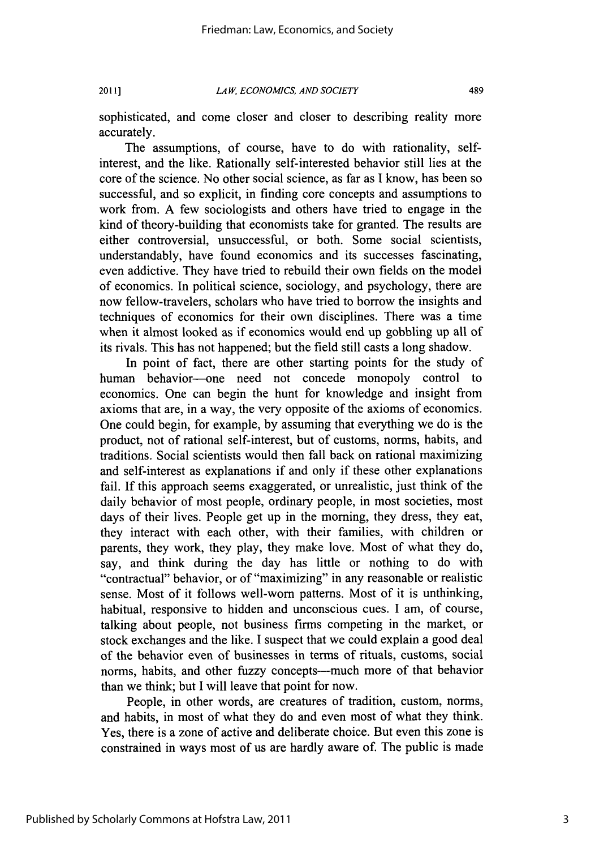sophisticated, and come closer and closer to describing reality more accurately.

The assumptions, of course, have to do with rationality, selfinterest, and the like. Rationally self-interested behavior still lies at the core of the science. No other social science, as far as **I** know, has been so successful, and so explicit, in finding core concepts and assumptions to work from. **A** few sociologists and others have tried to engage in the kind of theory-building that economists take for granted. The results are either controversial, unsuccessful, or both. Some social scientists, understandably, have found economics and its successes fascinating, even addictive. They have tried to rebuild their own fields on the model of economics. In political science, sociology, and psychology, there are now fellow-travelers, scholars who have tried to borrow the insights and techniques of economics for their own disciplines. There was a time when it almost looked as if economics would end up gobbling up all of its rivals. This has not happened; but the field still casts a long shadow.

In point of fact, there are other starting points for the study of human behavior-one need not concede monopoly control to economics. One can begin the hunt for knowledge and insight from axioms that are, in a way, the very opposite of the axioms of economics. One could begin, for example, **by** assuming that everything we do is the product, not of rational self-interest, but of customs, norms, habits, and traditions. Social scientists would then fall back on rational maximizing and self-interest as explanations if and only if these other explanations fail. If this approach seems exaggerated, or unrealistic, just think of the daily behavior of most people, ordinary people, in most societies, most days of their lives. People get up in the morning, they dress, they eat, they interact with each other, with their families, with children or parents, they work, they play, they make love. Most of what they do, say, and think during the day has little or nothing to do with "contractual" behavior, or of "maximizing" in any reasonable or realistic sense. Most of it follows well-worn patterns. Most of it is unthinking, habitual, responsive to hidden and unconscious cues. **I** am, of course, talking about people, not business firms competing in the market, or stock exchanges and the like. **I** suspect that we could explain a good deal of the behavior even of businesses in terms of rituals, customs, social norms, habits, and other fuzzy concepts---much more of that behavior than we think; but **I** will leave that point for now.

People, in other words, are creatures of tradition, custom, norms, and habits, in most of what they do and even most of what they think. Yes, there is a zone of active and deliberate choice. But even this zone is constrained in ways most of us are hardly aware of. The public is made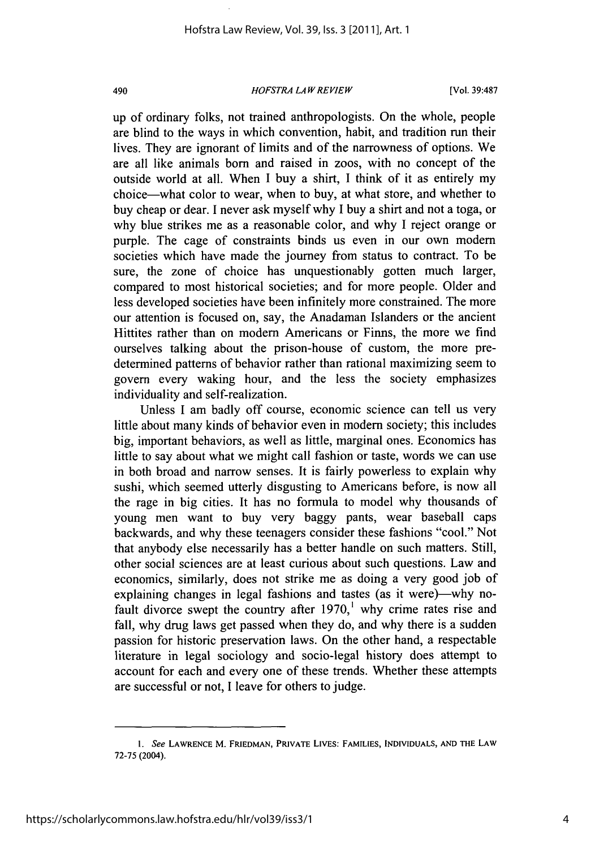### *HOFSTRA LAW REVIEW* 490 [Vol. **39:487**

up of ordinary folks, not trained anthropologists. On the whole, people are blind to the ways in which convention, habit, and tradition run their lives. They are ignorant of limits and of the narrowness of options. We are all like animals born and raised in zoos, with no concept of the outside world at all. When **I** buy a shirt, **I** think of it as entirely my choice-what color to wear, when to buy, at what store, and whether to buy cheap or dear. **I** never ask myself why **I** buy a shirt and not a toga, or why blue strikes me as a reasonable color, and why **I** reject orange or purple. The cage of constraints binds us even in our own modern societies which have made the journey from status to contract. To be sure, the zone of choice has unquestionably gotten much larger, compared to most historical societies; and for more people. Older and less developed societies have been infinitely more constrained. The more our attention is focused on, say, the Anadaman Islanders or the ancient Hittites rather than on modern Americans or Finns, the more we find ourselves talking about the prison-house of custom, the more predetermined patterns of behavior rather than rational maximizing seem to govern every waking hour, and the less the society emphasizes individuality and self-realization.

Unless **I** am badly off course, economic science can tell us very little about many kinds of behavior even in modern society; this includes big, important behaviors, as well as little, marginal ones. Economics has little to say about what we might call fashion or taste, words we can use in both broad and narrow senses. It is fairly powerless to explain why sushi, which seemed utterly disgusting to Americans before, is now all the rage in big cities. It has no formula to model why thousands of young men want to buy very baggy pants, wear baseball caps backwards, and why these teenagers consider these fashions "cool." Not that anybody else necessarily has a better handle on such matters. Still, other social sciences are at least curious about such questions. Law and economics, similarly, does not strike me as doing a very good **job** of explaining changes in legal fashions and tastes (as it were)—why nofault divorce swept the country after **1970,'** why crime rates rise and fall, why drug laws get passed when they do, and why there is a sudden passion for historic preservation laws. On the other hand, a respectable literature in legal sociology and socio-legal history does attempt to account for each and every one of these trends. Whether these attempts are successful or not, **I** leave for others to judge.

*<sup>1.</sup> See* **LAWRENCE M. FRIEDMAN, PRIVATE LIVES: FAMILIES, INDIVIDUALS, AND THE LAW 72-75** (2004).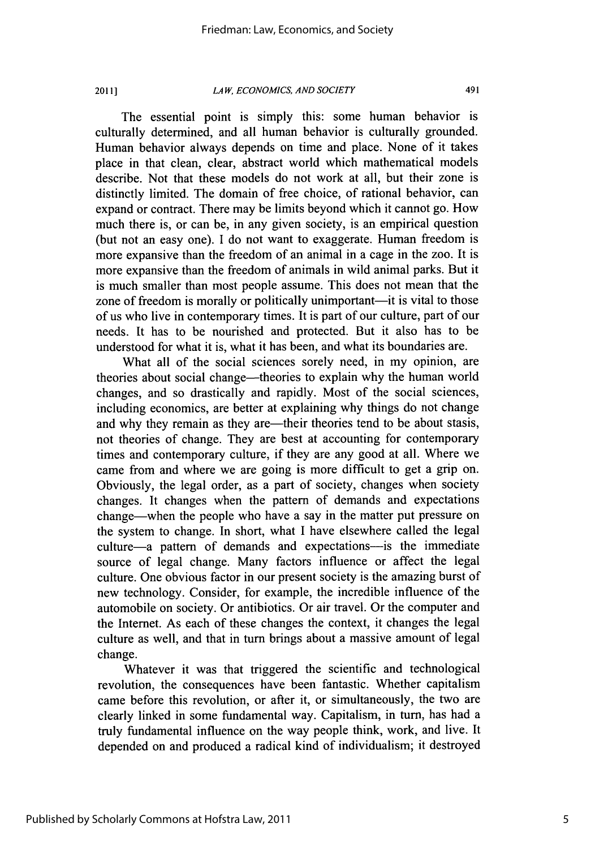### *LAW, ECONOMICS, AND SOCIETY* 2011] 491

The essential point is simply this: some human behavior is culturally determined, and all human behavior is culturally grounded. Human behavior always depends on time and place. None of it takes place in that clean, clear, abstract world which mathematical models describe. Not that these models do not work at all, but their zone is distinctly limited. The domain of free choice, of rational behavior, can expand or contract. There may be limits beyond which it cannot go. How much there is, or can be, in any given society, is an empirical question (but not an easy one). **I** do not want to exaggerate. Human freedom is more expansive than the freedom of an animal in a cage in the zoo. It is more expansive than the freedom of animals in wild animal parks. But it is much smaller than most people assume. This does not mean that the zone of freedom is morally or politically unimportant—it is vital to those of us who live in contemporary times. It is part of our culture, part of our needs. It has to be nourished and protected. But it also has to be understood for what it is, what it has been, and what its boundaries are.

What all of the social sciences sorely need, in my opinion, are theories about social change-theories to explain why the human world changes, and so drastically and rapidly. Most of the social sciences, including economics, are better at explaining why things do not change and why they remain as they are—their theories tend to be about stasis, not theories of change. They are best at accounting for contemporary times and contemporary culture, if they are any good at all. Where we came from and where we are going is more difficult to get a grip on. Obviously, the legal order, as a part of society, changes when society changes. It changes when the pattern of demands and expectations change-when the people who have a say in the matter put pressure on the system to change. In short, what **I** have elsewhere called the legal culture-a pattern of demands and expectations---is the immediate source of legal change. Many factors influence or affect the legal culture. One obvious factor in our present society is the amazing burst of new technology. Consider, for example, the incredible influence of the automobile on society. Or antibiotics. Or air travel. Or the computer and the Internet. As each of these changes the context, it changes the legal culture as well, and that in turn brings about a massive amount of legal change.

Whatever it was that triggered the scientific and technological revolution, the consequences have been fantastic. Whether capitalism came before this revolution, or after it, or simultaneously, the two are clearly linked in some fundamental way. Capitalism, in turn, has had a truly fundamental influence on the way people think, work, and live. It depended on and produced a radical kind of individualism; it destroyed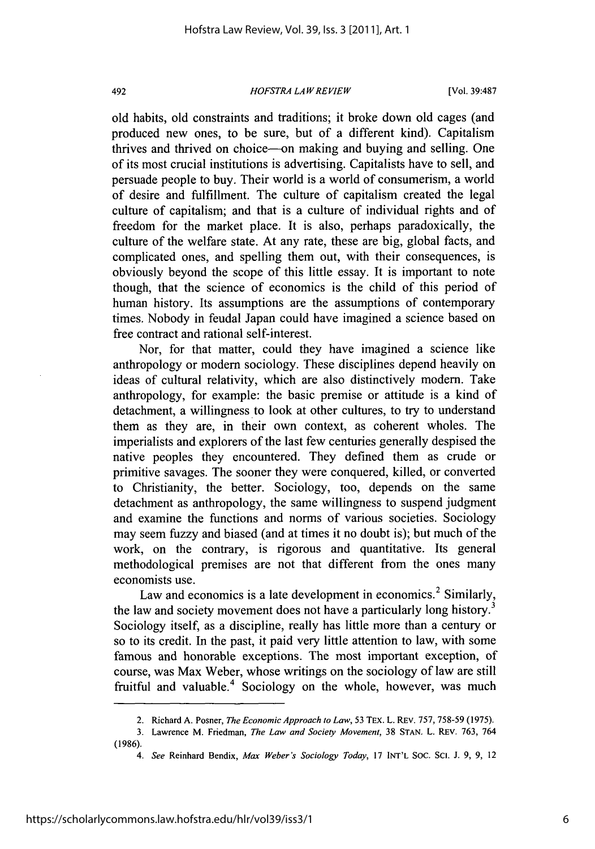### *HOFSTRA LAW REVIEW* 492 [Vol. **39:487**

old habits, old constraints and traditions; it broke down old cages (and produced new ones, to be sure, but of a different kind). Capitalism thrives and thrived on choice-on making and buying and selling. One of its most crucial institutions is advertising. Capitalists have to sell, and persuade people to buy. Their world is a world of consumerism, a world of desire and fulfillment. The culture of capitalism created the legal culture of capitalism; and that is a culture of individual rights and of freedom for the market place. It is also, perhaps paradoxically, the culture of the welfare state. At any rate, these are big, global facts, and complicated ones, and spelling them out, with their consequences, is obviously beyond the scope of this little essay. It is important to note though, that the science of economics is the child of this period of human history. Its assumptions are the assumptions of contemporary times. Nobody in feudal Japan could have imagined a science based on free contract and rational self-interest.

Nor, for that matter, could they have imagined a science like anthropology or modem sociology. These disciplines depend heavily on ideas of cultural relativity, which are also distinctively modern. Take anthropology, for example: the basic premise or attitude is a kind of detachment, a willingness to look at other cultures, to try to understand them as they are, in their own context, as coherent wholes. The imperialists and explorers of the last few centuries generally despised the native peoples they encountered. They defined them as crude or primitive savages. The sooner they were conquered, killed, or converted to Christianity, the better. Sociology, too, depends on the same detachment as anthropology, the same willingness to suspend judgment and examine the functions and norms of various societies. Sociology may seem fuzzy and biased (and at times it no doubt is); but much of the work, on the contrary, is rigorous and quantitative. Its general methodological premises are not that different from the ones many economists use.

Law and economics is a late development in economics.<sup>2</sup> Similarly, the law and society movement does not have a particularly long history.<sup>3</sup> Sociology itself, as a discipline, really has little more than a century or so to its credit. In the past, it paid very little attention to law, with some famous and honorable exceptions. The most important exception, of course, was Max Weber, whose writings on the sociology of law are still fruitful and valuable.<sup>4</sup> Sociology on the whole, however, was much

<sup>2.</sup> Richard **A.** Posner, *The Economic Approach to Law,* **53** TEX. L. REV. **757, 758-59** *(1975).*

**<sup>3.</sup> Lawrence M. Friedman,** *The Law and Society Movement,* **38 STAN.** L. REV. **763,** 764 **(1986).**

*<sup>4.</sup> See* **Reinhard Bendix,** *Max Weber's Sociology Today,* **17 INT'L SOC. SC. J. 9, 9, 12**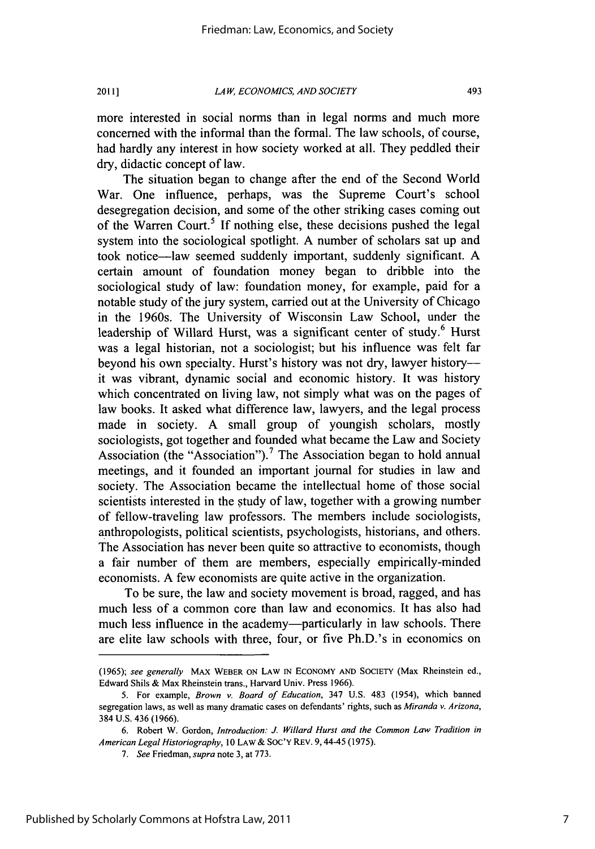*LAW, ECONOMICS, AND SOCIETY* 2011] 493

more interested in social norms than in legal norms and much more concerned with the informal than the formal. The law schools, of course, had hardly any interest in how society worked at all. They peddled their dry, didactic concept of law.

The situation began to change after the end of the Second World War. One influence, perhaps, was the Supreme Court's school desegregation decision, and some of the other striking cases coming out of the Warren Court.<sup>5</sup> If nothing else, these decisions pushed the legal system into the sociological spotlight. **A** number of scholars sat up and took notice-law seemed suddenly important, suddenly significant. **A** certain amount of foundation money began to dribble into the sociological study of law: foundation money, for example, paid for a notable study of the jury system, carried out at the University of Chicago in the 1960s. The University of Wisconsin Law School, under the leadership of Willard Hurst, was a significant center of study.<sup>6</sup> Hurst was a legal historian, not a sociologist; but his influence was felt far beyond his own specialty. Hurst's history was not dry, lawyer historyit was vibrant, dynamic social and economic history. It was history which concentrated on living law, not simply what was on the pages of law books. It asked what difference law, lawyers, and the legal process made in society. **A** small group of youngish scholars, mostly sociologists, got together and founded what became the Law and Society Association (the "Association").<sup>7</sup> The Association began to hold annual meetings, and it founded an important journal for studies in law and society. The Association became the intellectual home of those social scientists interested in the study of law, together with a growing number of fellow-traveling law professors. The members include sociologists, anthropologists, political scientists, psychologists, historians, and others. The Association has never been quite so attractive to economists, though a fair number of them are members, especially empirically-minded economists. **A** few economists are quite active in the organization.

To be sure, the law and society movement is broad, ragged, and has much less of a common core than law and economics. It has also had much less influence in the academy--particularly in law schools. There are elite law schools with three, four, or five Ph.D.'s in economics on

*<sup>(1965);</sup>* see generally **MAX WEBER ON LAW IN ECONOMY AND SOCIETY** (Max Rheinstein ed., Edward Shils **&** Max Rheinstein trans., Harvard Univ. Press **1966).**

**<sup>5.</sup>** For example, Brown v. Board of Education, 347 **U.S.** 483 (1954), which banned segregation laws, as well as many dramatic cases on defendants' rights, such as Miranda v. Arizona, 384 **U.S.** 436 **(1966).**

**<sup>6.</sup>** Robert **W.** Gordon, Introduction: *J* Willard Hurst and the Common Law Tradition in American Legal Historiography, *10* **LAW & SOC'Y REv.** 9,44-45 **(1975).**

*<sup>7.</sup>* See *Friedman,* supra note **3,** at **773.**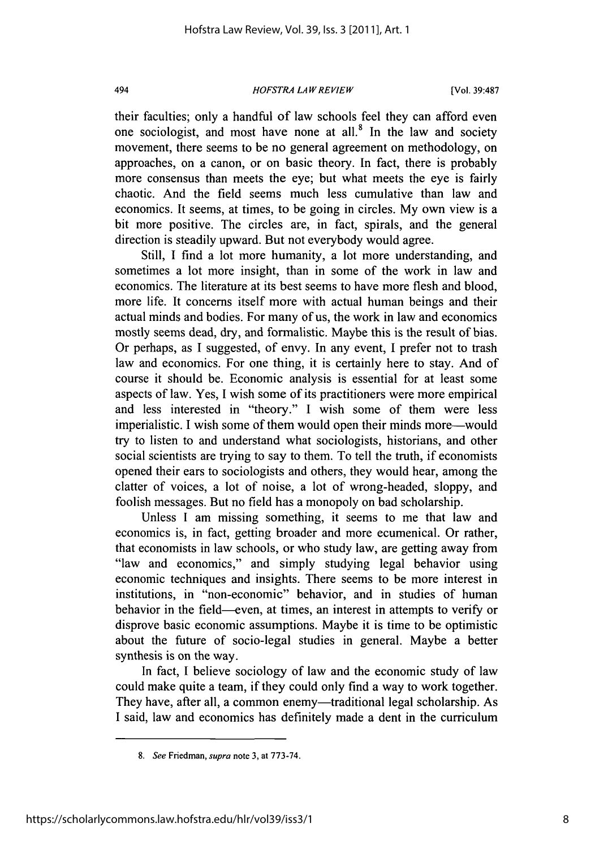### *HOFSTRA LAW REVIEW* 494 [Vol. **39:487**

their faculties; only a handful of law schools feel they can afford even one sociologist, and most have none at all.<sup>8</sup> In the law and society movement, there seems to be no general agreement on methodology, on approaches, on a canon, or on basic theory. In fact, there is probably more consensus than meets the eye; but what meets the eye is fairly chaotic. And the field seems much less cumulative than law and economics. It seems, at times, to be going in circles. **My** own view is a bit more positive. The circles are, in fact, spirals, and the general direction is steadily upward. But not everybody would agree.

Still, **I** find a lot more humanity, a lot more understanding, and sometimes a lot more insight, than in some of the work in law and economics. The literature at its best seems to have more flesh and blood, more life. It concerns itself more with actual human beings and their actual minds and bodies. For many of us, the work in law and economics mostly seems dead, dry, and formalistic. Maybe this is the result of bias. Or perhaps, as **I** suggested, of envy. In any event, **I** prefer not to trash law and economics. For one thing, it is certainly here to stay. And of course it should be. Economic analysis is essential for at least some aspects of law. Yes, **I** wish some of its practitioners were more empirical and less interested in "theory." **I** wish some of them were less imperialistic. **I** wish some of them would open their minds more-would try to listen to and understand what sociologists, historians, and other social scientists are trying to say to them. To tell the truth, if economists opened their ears to sociologists and others, they would hear, among the clatter of voices, a lot of noise, a lot of wrong-headed, sloppy, and foolish messages. But no field has a monopoly on bad scholarship.

Unless **I** am missing something, it seems to me that law and economics is, in fact, getting broader and more ecumenical. Or rather, that economists in law schools, or who study law, are getting away from "law and economics," and simply studying legal behavior using economic techniques and insights. There seems to be more interest in institutions, in "non-economic" behavior, and in studies of human behavior in the field-even, at times, an interest in attempts to verify or disprove basic economic assumptions. Maybe it is time to be optimistic about the future of socio-legal studies in general. Maybe a better synthesis is on the way.

In fact, **I** believe sociology of law and the economic study of law could make quite a team, if they could only find a way to work together. They have, after all, a common enemy-traditional legal scholarship. As **I** said, law and economics has definitely made a dent in the curriculum

*<sup>8.</sup> See Friedman,* **supra** note **3,** at **773-74.**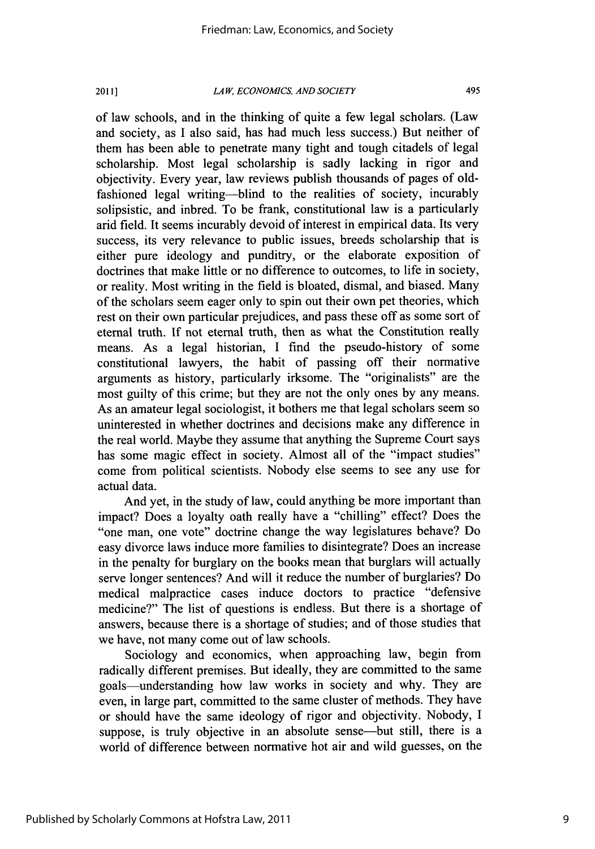**LAW, ECONOMICS, AND** *SOCIETY* 2011] 495

of law schools, and in the thinking of quite a few legal scholars. (Law and society, as **I** also said, has had much less success.) But neither of them has been able to penetrate many tight and tough citadels of legal scholarship. Most legal scholarship is sadly lacking in rigor and objectivity. Every year, law reviews publish thousands of pages of oldfashioned legal writing-blind to the realities of society, incurably solipsistic, and inbred. To be frank, constitutional law is a particularly arid field. It seems incurably devoid of interest in empirical data. Its very success, its very relevance to public issues, breeds scholarship that is either pure ideology and punditry, or the elaborate exposition of doctrines that make little or no difference to outcomes, to life in society, or reality. Most writing in the field is bloated, dismal, and biased. Many of the scholars seem eager only to spin out their own pet theories, which rest on their own particular prejudices, and pass these off as some sort of eternal truth. **If** not eternal truth, then as what the Constitution really means. As a legal historian, **I** find the pseudo-history of some constitutional lawyers, the habit of passing off their normative arguments as history, particularly irksome. The "originalists" are the most guilty of this crime; but they are not the only ones **by** any means. As an amateur legal sociologist, it bothers me that legal scholars seem so uninterested in whether doctrines and decisions make any difference in the real world. Maybe they assume that anything the Supreme Court says has some magic effect in society. Almost all of the "impact studies" come from political scientists. Nobody else seems to see any use for actual data.

And yet, in the study of law, could anything be more important than impact? Does a loyalty oath really have a "chilling" effect? Does the "one man, one vote" doctrine change the way legislatures behave? Do easy divorce laws induce more families to disintegrate? Does an increase in the penalty for burglary on the books mean that burglars will actually serve longer sentences? And will it reduce the number of burglaries? Do medical malpractice cases induce doctors to practice "defensive medicine?" The list of questions is endless. But there is a shortage of answers, because there is a shortage of studies; and of those studies that we have, not many come out of law schools.

Sociology and economics, when approaching law, begin from radically different premises. But ideally, they are committed to the same goals-understanding how law works in society and why. They are even, in large part, committed to the same cluster of methods. They have or should have the same ideology of rigor and objectivity. Nobody, **I** suppose, is truly objective in an absolute sense—but still, there is a world of difference between normative hot air and wild guesses, on the